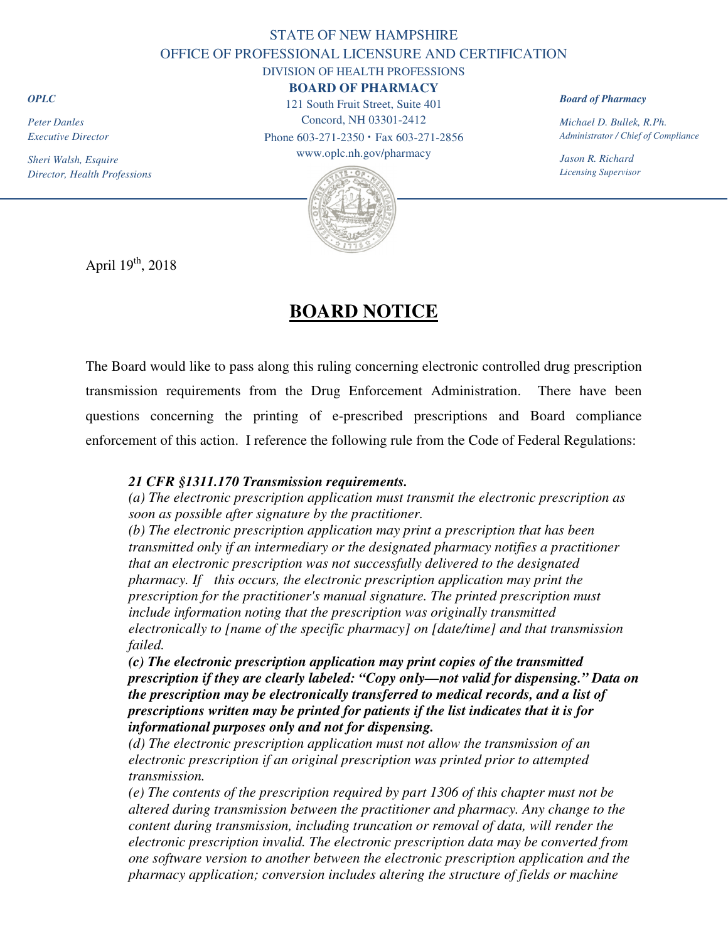## STATE OF NEW HAMPSHIRE OFFICE OF PROFESSIONAL LICENSURE AND CERTIFICATION DIVISION OF HEALTH PROFESSIONS

### **BOARD OF PHARMACY**

121 South Fruit Street, Suite 401 Concord, NH 03301-2412 Phone 603-271-2350 **·** Fax 603-271-2856

www.oplc.nh.gov/pharmacy



#### *Board of Pharmacy*

*Michael D. Bullek, R.Ph. Administrator / Chief of Compliance* 

*Jason R. Richard Licensing Supervisor*

April  $19<sup>th</sup>$ , 2018

# **BOARD NOTICE**

The Board would like to pass along this ruling concerning electronic controlled drug prescription transmission requirements from the Drug Enforcement Administration. There have been questions concerning the printing of e-prescribed prescriptions and Board compliance enforcement of this action. I reference the following rule from the Code of Federal Regulations:

## *21 CFR §1311.170 Transmission requirements.*

*(a) The electronic prescription application must transmit the electronic prescription as soon as possible after signature by the practitioner.* 

*(b) The electronic prescription application may print a prescription that has been transmitted only if an intermediary or the designated pharmacy notifies a practitioner that an electronic prescription was not successfully delivered to the designated pharmacy. If this occurs, the electronic prescription application may print the prescription for the practitioner's manual signature. The printed prescription must include information noting that the prescription was originally transmitted electronically to [name of the specific pharmacy] on [date/time] and that transmission failed.* 

*(c) The electronic prescription application may print copies of the transmitted prescription if they are clearly labeled: "Copy only—not valid for dispensing." Data on the prescription may be electronically transferred to medical records, and a list of prescriptions written may be printed for patients if the list indicates that it is for informational purposes only and not for dispensing.* 

*(d) The electronic prescription application must not allow the transmission of an electronic prescription if an original prescription was printed prior to attempted transmission.* 

*(e) The contents of the prescription required by part 1306 of this chapter must not be altered during transmission between the practitioner and pharmacy. Any change to the content during transmission, including truncation or removal of data, will render the electronic prescription invalid. The electronic prescription data may be converted from one software version to another between the electronic prescription application and the pharmacy application; conversion includes altering the structure of fields or machine* 

*OPLC*

*Peter Danles Executive Director* 

*Sheri Walsh, Esquire Director, Health Professions*